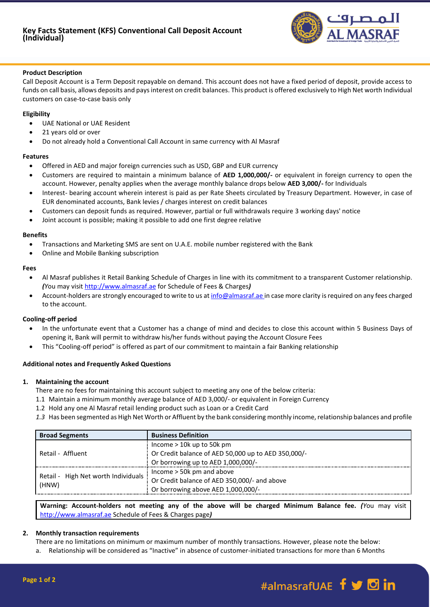

### **Product Description**

Call Deposit Account is a Term Deposit repayable on demand. This account does not have a fixed period of deposit, provide access to funds on call basis, allows deposits and pays interest on credit balances. This product is offered exclusively to High Net worth Individual customers on case-to-case basis only

### **Eligibility**

- UAE National or UAE Resident
- 21 years old or over
- Do not already hold a Conventional Call Account in same currency with Al Masraf

### **Features**

- Offered in AED and major foreign currencies such as USD, GBP and EUR currency
- Customers are required to maintain a minimum balance of **AED 1,000,000/-** or equivalent in foreign currency to open the account. However, penalty applies when the average monthly balance drops below **AED 3,000/-** for Individuals
- Interest- bearing account wherein interest is paid as per Rate Sheets circulated by Treasury Department. However, in case of EUR denominated accounts, Bank levies / charges interest on credit balances
- Customers can deposit funds as required. However, partial or full withdrawals require 3 working days' notice
- Joint account is possible; making it possible to add one first degree relative

### **Benefits**

- Transactions and Marketing SMS are sent on U.A.E. mobile number registered with the Bank
- Online and Mobile Banking subscription

### **Fees**

- Al Masraf publishes it Retail Banking Schedule of Charges in line with its commitment to a transparent Customer relationship. *(Y*ou may visi[t http://www.almasraf.ae](http://www.almasraf.ae/) for Schedule of Fees & Charges*)*
- Account-holders are strongly encouraged to write to us at [info@almasraf.ae](mailto:info@almasraf.ae) in case more clarity is required on any fees charged to the account.

#### **Cooling-off period**

- In the unfortunate event that a Customer has a change of mind and decides to close this account within 5 Business Days of opening it, Bank will permit to withdraw his/her funds without paying the Account Closure Fees
- This "Cooling-off period" is offered as part of our commitment to maintain a fair Banking relationship

# **Additional notes and Frequently Asked Questions**

#### **1. Maintaining the account**

There are no fees for maintaining this account subject to meeting any one of the below criteria:

- 1.1 Maintain a minimum monthly average balance of AED 3,000/- or equivalent in Foreign Currency
- 1.2 Hold any one Al Masraf retail lending product such as Loan or a Credit Card
- *1.3* Has been segmented as High Net Worth or Affluent by the bank considering monthly income, relationship balances and profile

| <b>Broad Segments</b>                        | <b>Business Definition</b>                          |
|----------------------------------------------|-----------------------------------------------------|
| Retail - Affluent                            | Income $> 10k$ up to 50k pm                         |
|                                              | Or Credit balance of AED 50,000 up to AED 350,000/- |
|                                              | Or borrowing up to AED 1,000,000/-                  |
| Retail - High Net worth Individuals<br>(HNW) | Income $>$ 50 $k$ pm and above                      |
|                                              | Or Credit balance of AED 350,000/- and above        |
|                                              | Or borrowing above AED 1,000,000/-                  |

**Warning: Account-holders not meeting any of the above will be charged Minimum Balance fee.** *(Y*ou may visit [http://www.almasraf.ae](http://www.almasraf.ae/) Schedule of Fees & Charges page*)*

# **2. Monthly transaction requirements**

There are no limitations on minimum or maximum number of monthly transactions. However, please note the below:

a. Relationship will be considered as "Inactive" in absence of customer-initiated transactions for more than 6 Months